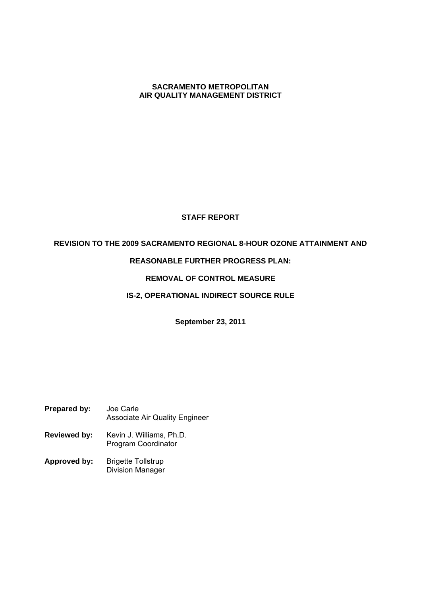#### **SACRAMENTO METROPOLITAN AIR QUALITY MANAGEMENT DISTRICT**

# **STAFF REPORT**

### **REVISION TO THE 2009 SACRAMENTO REGIONAL 8-HOUR OZONE ATTAINMENT AND**

## **REASONABLE FURTHER PROGRESS PLAN:**

# **REMOVAL OF CONTROL MEASURE**

### **IS-2, OPERATIONAL INDIRECT SOURCE RULE**

**September 23, 2011**

- **Prepared by:** Joe Carle Associate Air Quality Engineer
- **Reviewed by:** Kevin J. Williams, Ph.D. Program Coordinator
- **Approved by:** Brigette Tollstrup Division Manager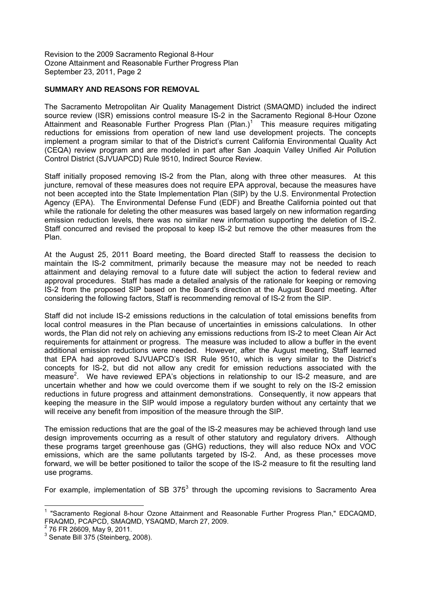### **SUMMARY AND REASONS FOR REMOVAL**

The Sacramento Metropolitan Air Quality Management District (SMAQMD) included the indirect source review (ISR) emissions control measure IS-2 in the Sacramento Regional 8-Hour Ozone Attainment and Reasonable Further Progress Plan  $(Plan.)<sup>1</sup>$  This measure requires mitigating reductions for emissions from operation of new land use development projects. The concepts implement a program similar to that of the District's current California Environmental Quality Act (CEQA) review program and are modeled in part after San Joaquin Valley Unified Air Pollution Control District (SJVUAPCD) Rule 9510, Indirect Source Review.

Staff initially proposed removing IS-2 from the Plan, along with three other measures. At this juncture, removal of these measures does not require EPA approval, because the measures have not been accepted into the State Implementation Plan (SIP) by the U.S. Environmental Protection Agency (EPA). The Environmental Defense Fund (EDF) and Breathe California pointed out that while the rationale for deleting the other measures was based largely on new information regarding emission reduction levels, there was no similar new information supporting the deletion of IS-2. Staff concurred and revised the proposal to keep IS-2 but remove the other measures from the Plan.

At the August 25, 2011 Board meeting, the Board directed Staff to reassess the decision to maintain the IS-2 commitment, primarily because the measure may not be needed to reach attainment and delaying removal to a future date will subject the action to federal review and approval procedures. Staff has made a detailed analysis of the rationale for keeping or removing IS-2 from the proposed SIP based on the Board's direction at the August Board meeting. After considering the following factors, Staff is recommending removal of IS-2 from the SIP.

Staff did not include IS-2 emissions reductions in the calculation of total emissions benefits from local control measures in the Plan because of uncertainties in emissions calculations. In other words, the Plan did not rely on achieving any emissions reductions from IS-2 to meet Clean Air Act requirements for attainment or progress. The measure was included to allow a buffer in the event additional emission reductions were needed. However, after the August meeting, Staff learned that EPA had approved SJVUAPCD's ISR Rule 9510, which is very similar to the District's concepts for IS-2, but did not allow any credit for emission reductions associated with the measure<sup>2</sup>. We have reviewed EPA's objections in relationship to our IS-2 measure, and are uncertain whether and how we could overcome them if we sought to rely on the IS-2 emission reductions in future progress and attainment demonstrations. Consequently, it now appears that keeping the measure in the SIP would impose a regulatory burden without any certainty that we will receive any benefit from imposition of the measure through the SIP.

The emission reductions that are the goal of the lS-2 measures may be achieved through land use design improvements occurring as a result of other statutory and regulatory drivers. Although these programs target greenhouse gas (GHG) reductions, they will also reduce NOx and VOC emissions, which are the same pollutants targeted by IS-2. And, as these processes move forward, we will be better positioned to tailor the scope of the IS-2 measure to fit the resulting land use programs.

For example, implementation of SB 375 $3$  through the upcoming revisions to Sacramento Area

<sup>&</sup>lt;sup>1</sup> "Sacramento Regional 8-hour Ozone Attainment and Reasonable Further Progress Plan," EDCAQMD, FRAQMD, PCAPCD, SMAQMD, YSAQMD, March 27, 2009.

<sup>2</sup> 76 FR 26609, May 9, 2011.

 $3$  Senate Bill 375 (Steinberg, 2008).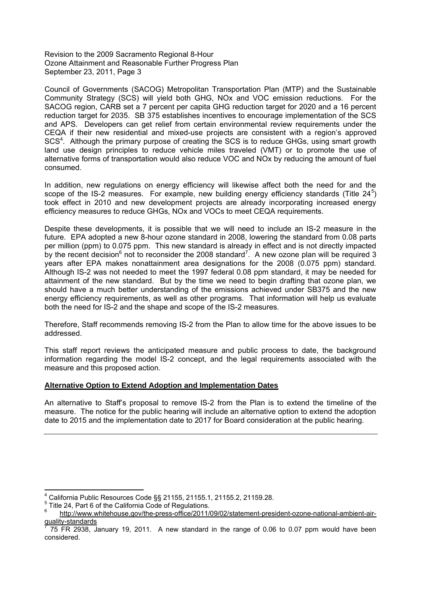Council of Governments (SACOG) Metropolitan Transportation Plan (MTP) and the Sustainable Community Strategy (SCS) will yield both GHG, NOx and VOC emission reductions. For the SACOG region, CARB set a 7 percent per capita GHG reduction target for 2020 and a 16 percent reduction target for 2035. SB 375 establishes incentives to encourage implementation of the SCS and APS. Developers can get relief from certain environmental review requirements under the  $CEQA$  if their new residential and mixed-use projects are consistent with a region's approved SCS<sup>4</sup>. Although the primary purpose of creating the SCS is to reduce GHGs, using smart growth land use design principles to reduce vehicle miles traveled (VMT) or to promote the use of alternative forms of transportation would also reduce VOC and NOx by reducing the amount of fuel consumed.

In addition, new regulations on energy efficiency will likewise affect both the need for and the scope of the IS-2 measures. For example, new building energy efficiency standards (Title  $24^5$ ) took effect in 2010 and new development projects are already incorporating increased energy efficiency measures to reduce GHGs, NOx and VOCs to meet CEQA requirements.

Despite these developments, it is possible that we will need to include an IS-2 measure in the future. EPA adopted a new 8-hour ozone standard in 2008, lowering the standard from 0.08 parts per million (ppm) to 0.075 ppm. This new standard is already in effect and is not directly impacted by the recent decision<sup>6</sup> not to reconsider the 2008 standard<sup>7</sup>. A new ozone plan will be required 3 years after EPA makes nonattainment area designations for the 2008 (0.075 ppm) standard. Although IS-2 was not needed to meet the 1997 federal 0.08 ppm standard, it may be needed for attainment of the new standard. But by the time we need to begin drafting that ozone plan, we should have a much better understanding of the emissions achieved under SB375 and the new energy efficiency requirements, as well as other programs. That information will help us evaluate both the need for IS-2 and the shape and scope of the IS-2 measures.

Therefore, Staff recommends removing IS-2 from the Plan to allow time for the above issues to be addressed.

This staff report reviews the anticipated measure and public process to date, the background information regarding the model IS-2 concept, and the legal requirements associated with the measure and this proposed action.

#### **Alternative Option to Extend Adoption and Implementation Dates**

An alternative to Staffs proposal to remove IS-2 from the Plan is to extend the timeline of the measure. The notice for the public hearing will include an alternative option to extend the adoption date to 2015 and the implementation date to 2017 for Board consideration at the public hearing.

<sup>4</sup> California Public Resources Code §§ 21155, 21155.1, 21155.2, 21159.28.

<sup>&</sup>lt;sup>5</sup> Title 24, Part 6 of the California Code of Regulations.

http://www.whitehouse.gov/the-press-office/2011/09/02/statement-president-ozone-national-ambient-airquality-standards

<sup>7</sup> 75 FR 2938, January 19, 2011. A new standard in the range of 0.06 to 0.07 ppm would have been considered.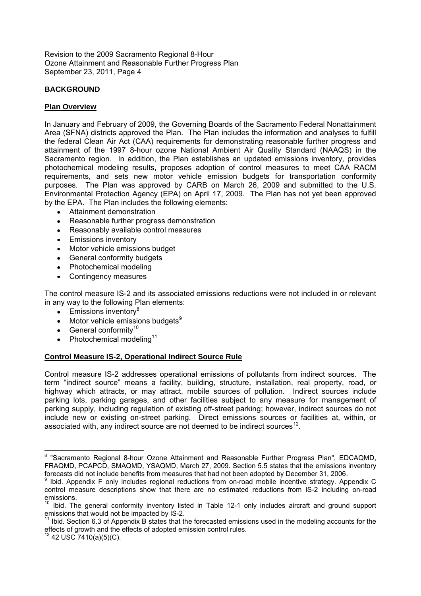# **BACKGROUND**

# **Plan Overview**

In January and February of 2009, the Governing Boards of the Sacramento Federal Nonattainment Area (SFNA) districts approved the Plan. The Plan includes the information and analyses to fulfill the federal Clean Air Act (CAA) requirements for demonstrating reasonable further progress and attainment of the 1997 8-hour ozone National Ambient Air Quality Standard (NAAQS) in the Sacramento region. In addition, the Plan establishes an updated emissions inventory, provides photochemical modeling results, proposes adoption of control measures to meet CAA RACM requirements, and sets new motor vehicle emission budgets for transportation conformity purposes. The Plan was approved by CARB on March 26, 2009 and submitted to the U.S. Environmental Protection Agency (EPA) on April 17, 2009. The Plan has not yet been approved by the EPA. The Plan includes the following elements:

- Attainment demonstration
- Reasonable further progress demonstration
- Reasonably available control measures
- **Emissions inventory**
- Motor vehicle emissions budget
- General conformity budgets
- Photochemical modeling
- Contingency measures

The control measure IS-2 and its associated emissions reductions were not included in or relevant in any way to the following Plan elements:

- $\bullet$  Emissions inventory<sup>8</sup>
- $\bullet$  Motor vehicle emissions budgets<sup>9</sup>
- $\bullet$  General conformity<sup>10</sup>
- $\bullet$  Photochemical modeling<sup>11</sup>

## **Control Measure IS-2, Operational Indirect Source Rule**

Control measure IS-2 addresses operational emissions of pollutants from indirect sources. The term "indirect source" means a facility, building, structure, installation, real property, road, or highway which attracts, or may attract, mobile sources of pollution. Indirect sources include parking lots, parking garages, and other facilities subject to any measure for management of parking supply, including regulation of existing off-street parking; however, indirect sources do not include new or existing on-street parking. Direct emissions sources or facilities at, within, or associated with, any indirect source are not deemed to be indirect sources<sup>12</sup>.

<sup>&</sup>lt;sup>8</sup> "Sacramento Regional 8-hour Ozone Attainment and Reasonable Further Progress Plan", EDCAQMD, FRAQMD, PCAPCD, SMAQMD, YSAQMD, March 27, 2009. Section 5.5 states that the emissions inventory forecasts did not include benefits from measures that had not been adopted by December 31, 2006.

<sup>9</sup> Ibid. Appendix F only includes regional reductions from on-road mobile incentive strategy. Appendix C control measure descriptions show that there are no estimated reductions from IS-2 including on-road emissions.

 $10$  Ibid. The general conformity inventory listed in Table 12-1 only includes aircraft and ground support emissions that would not be impacted by IS-2.

 $11$  Ibid. Section 6.3 of Appendix B states that the forecasted emissions used in the modeling accounts for the effects of growth and the effects of adopted emission control rules.

 $12$  42 USC 7410(a)(5)(C).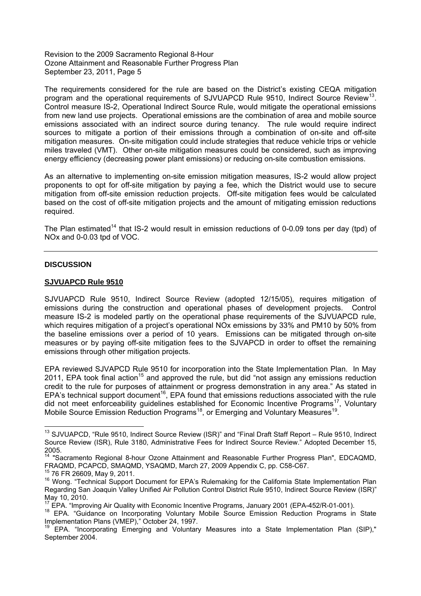The requirements considered for the rule are based on the District's existing CEQA mitigation program and the operational requirements of SJVUAPCD Rule 9510, Indirect Source Review<sup>13</sup>. Control measure IS-2, Operational Indirect Source Rule, would mitigate the operational emissions from new land use projects. Operational emissions are the combination of area and mobile source emissions associated with an indirect source during tenancy. The rule would require indirect sources to mitigate a portion of their emissions through a combination of on-site and off-site mitigation measures. On-site mitigation could include strategies that reduce vehicle trips or vehicle miles traveled (VMT). Other on-site mitigation measures could be considered, such as improving energy efficiency (decreasing power plant emissions) or reducing on-site combustion emissions.

As an alternative to implementing on-site emission mitigation measures, IS-2 would allow project proponents to opt for off-site mitigation by paying a fee, which the District would use to secure mitigation from off-site emission reduction projects. Off-site mitigation fees would be calculated based on the cost of off-site mitigation projects and the amount of mitigating emission reductions required.

The Plan estimated<sup>14</sup> that IS-2 would result in emission reductions of 0-0.09 tons per day (tpd) of NOx and 0-0.03 tpd of VOC.

### **DISCUSSION**

#### **SJVUAPCD Rule 9510**

SJVUAPCD Rule 9510, Indirect Source Review (adopted 12/15/05), requires mitigation of emissions during the construction and operational phases of development projects. Control measure IS-2 is modeled partly on the operational phase requirements of the SJVUAPCD rule, which requires mitigation of a project's operational NOx emissions by 33% and PM10 by 50% from the baseline emissions over a period of 10 years. Emissions can be mitigated through on-site measures or by paying off-site mitigation fees to the SJVAPCD in order to offset the remaining emissions through other mitigation projects.

EPA reviewed SJVAPCD Rule 9510 for incorporation into the State Implementation Plan. In May 2011, EPA took final action<sup>15</sup> and approved the rule, but did "not assign any emissions reduction credit to the rule for purposes of attainment or progress demonstration in any area." As stated in EPA's technical support document<sup>16</sup>, EPA found that emissions reductions associated with the rule did not meet enforceability guidelines established for Economic Incentive Programs<sup>17</sup>, Voluntary Mobile Source Emission Reduction Programs<sup>18</sup>, or Emerging and Voluntary Measures<sup>19</sup>.

 $13$  SJVUAPCD, "Rule 9510, Indirect Source Review (ISR)" and "Final Draft Staff Report – Rule 9510, Indirect Source Review (ISR), Rule 3180, Administrative Fees for Indirect Source Review." Adopted December 15, 2005.

<sup>&</sup>lt;sup>14</sup> "Sacramento Regional 8-hour Ozone Attainment and Reasonable Further Progress Plan", EDCAQMD, FRAQMD, PCAPCD, SMAQMD, YSAQMD, March 27, 2009 Appendix C, pp. C58-C67.

<sup>15</sup> 76 FR 26609, May 9, 2011.

<sup>&</sup>lt;sup>16</sup> Wong. "Technical Support Document for EPA's Rulemaking for the California State Implementation Plan Regarding San Joaquin Valley Unified Air Pollution Control District Rule 9510, Indirect Source Review (ISR) May 10, 2010.

<sup>&</sup>lt;sup>17</sup> EPA. "Improving Air Quality with Economic Incentive Programs, January 2001 (EPA-452/R-01-001).

<sup>&</sup>lt;sup>18</sup> EPA. "Guidance on Incorporating Voluntary Mobile Source Emission Reduction Programs in State Implementation Plans (VMEP)," October 24, 1997.

<sup>19</sup> EPA. Incorporating Emerging and Voluntary Measures into a State Implementation Plan (SIP)," September 2004.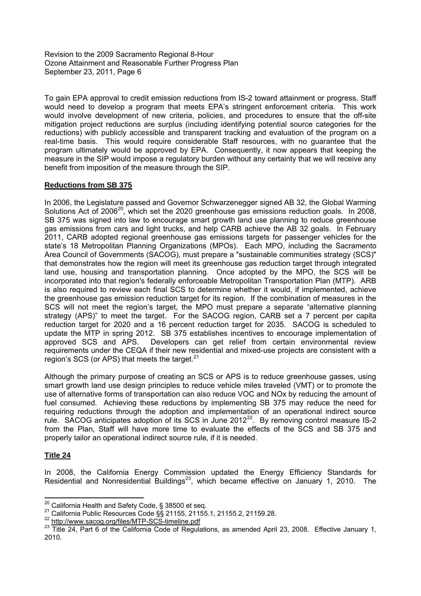To gain EPA approval to credit emission reductions from IS-2 toward attainment or progress, Staff would need to develop a program that meets EPA's stringent enforcement criteria. This work would involve development of new criteria, policies, and procedures to ensure that the off-site mitigation project reductions are surplus (including identifying potential source categories for the reductions) with publicly accessible and transparent tracking and evaluation of the program on a real-time basis. This would require considerable Staff resources, with no guarantee that the program ultimately would be approved by EPA. Consequently, it now appears that keeping the measure in the SIP would impose a regulatory burden without any certainty that we will receive any benefit from imposition of the measure through the SIP.

## **Reductions from SB 375**

In 2006, the Legislature passed and Governor Schwarzenegger signed AB 32, the Global Warming Solutions Act of  $2006^{20}$ , which set the 2020 greenhouse gas emissions reduction goals. In 2008, SB 375 was signed into law to encourage smart growth land use planning to reduce greenhouse gas emissions from cars and light trucks, and help CARB achieve the AB 32 goals. In February 2011, CARB adopted regional greenhouse gas emissions targets for passenger vehicles for the state's 18 Metropolitan Planning Organizations (MPOs). Each MPO, including the Sacramento Area Council of Governments (SACOG), must prepare a "sustainable communities strategy (SCS)" that demonstrates how the region will meet its greenhouse gas reduction target through integrated land use, housing and transportation planning. Once adopted by the MPO, the SCS will be incorporated into that region's federally enforceable Metropolitan Transportation Plan (MTP). ARB is also required to review each final SCS to determine whether it would, if implemented, achieve the greenhouse gas emission reduction target for its region. If the combination of measures in the SCS will not meet the region's target, the MPO must prepare a separate "alternative planning strategy (APS)" to meet the target. For the SACOG region, CARB set a 7 percent per capita reduction target for 2020 and a 16 percent reduction target for 2035. SACOG is scheduled to update the MTP in spring 2012. SB 375 establishes incentives to encourage implementation of approved SCS and APS. Developers can get relief from certain environmental review requirements under the CEQA if their new residential and mixed-use projects are consistent with a region's SCS (or APS) that meets the target. $21$ 

Although the primary purpose of creating an SCS or APS is to reduce greenhouse gasses, using smart growth land use design principles to reduce vehicle miles traveled (VMT) or to promote the use of alternative forms of transportation can also reduce VOC and NOx by reducing the amount of fuel consumed. Achieving these reductions by implementing SB 375 may reduce the need for requiring reductions through the adoption and implementation of an operational indirect source rule. SACOG anticipates adoption of its SCS in June 2012<sup>22</sup>. By removing control measure IS-2 from the Plan, Staff will have more time to evaluate the effects of the SCS and SB 375 and properly tailor an operational indirect source rule, if it is needed.

## **Title 24**

In 2008, the California Energy Commission updated the Energy Efficiency Standards for Residential and Nonresidential Buildings<sup>23</sup>, which became effective on January 1, 2010. The

<sup>20</sup> California Health and Safety Code, § 38500 et seq.

<sup>21</sup> California Public Resources Code §§ 21155, 21155.1, 21155.2, 21159.28.

<sup>&</sup>lt;sup>22</sup> http://www.sacog.org/files/MTP-SCS-timeline.pdf

<sup>&</sup>lt;sup>23</sup> Title 24, Part 6 of the California Code of Regulations, as amended April 23, 2008. Effective January 1, 2010.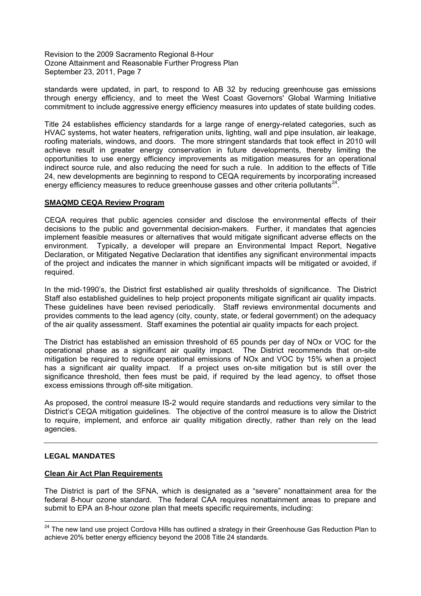standards were updated, in part, to respond to AB 32 by reducing greenhouse gas emissions through energy efficiency, and to meet the West Coast Governors' Global Warming Initiative commitment to include aggressive energy efficiency measures into updates of state building codes.

Title 24 establishes efficiency standards for a large range of energy-related categories, such as HVAC systems, hot water heaters, refrigeration units, lighting, wall and pipe insulation, air leakage, roofing materials, windows, and doors. The more stringent standards that took effect in 2010 will achieve result in greater energy conservation in future developments, thereby limiting the opportunities to use energy efficiency improvements as mitigation measures for an operational indirect source rule, and also reducing the need for such a rule. In addition to the effects of Title 24, new developments are beginning to respond to CEQA requirements by incorporating increased energy efficiency measures to reduce greenhouse gasses and other criteria pollutants<sup>24</sup>.

### **SMAQMD CEQA Review Program**

CEQA requires that public agencies consider and disclose the environmental effects of their decisions to the public and governmental decision-makers. Further, it mandates that agencies implement feasible measures or alternatives that would mitigate significant adverse effects on the environment. Typically, a developer will prepare an Environmental Impact Report, Negative Declaration, or Mitigated Negative Declaration that identifies any significant environmental impacts of the project and indicates the manner in which significant impacts will be mitigated or avoided, if required.

In the mid-1990's, the District first established air quality thresholds of significance. The District Staff also established guidelines to help project proponents mitigate significant air quality impacts. These guidelines have been revised periodically. Staff reviews environmental documents and provides comments to the lead agency (city, county, state, or federal government) on the adequacy of the air quality assessment. Staff examines the potential air quality impacts for each project.

The District has established an emission threshold of 65 pounds per day of NOx or VOC for the operational phase as a significant air quality impact. The District recommends that on-site mitigation be required to reduce operational emissions of NOx and VOC by 15% when a project has a significant air quality impact. If a project uses on-site mitigation but is still over the significance threshold, then fees must be paid, if required by the lead agency, to offset those excess emissions through off-site mitigation.

As proposed, the control measure IS-2 would require standards and reductions very similar to the District's CEQA mitigation guidelines. The objective of the control measure is to allow the District to require, implement, and enforce air quality mitigation directly, rather than rely on the lead agencies.

## **LEGAL MANDATES**

#### **Clean Air Act Plan Requirements**

The District is part of the SFNA, which is designated as a "severe" nonattainment area for the federal 8-hour ozone standard. The federal CAA requires nonattainment areas to prepare and submit to EPA an 8-hour ozone plan that meets specific requirements, including:

<sup>&</sup>lt;sup>24</sup> The new land use project Cordova Hills has outlined a strategy in their Greenhouse Gas Reduction Plan to achieve 20% better energy efficiency beyond the 2008 Title 24 standards.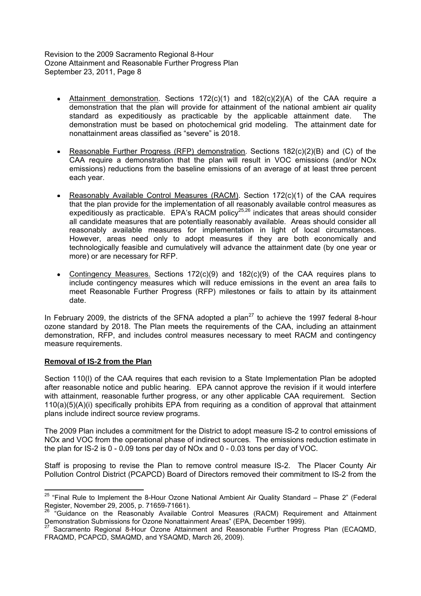- Attainment demonstration. Sections 172(c)(1) and 182(c)(2)(A) of the CAA require a  $\bullet$ demonstration that the plan will provide for attainment of the national ambient air quality standard as expeditiously as practicable by the applicable attainment date. The demonstration must be based on photochemical grid modeling. The attainment date for nonattainment areas classified as "severe" is 2018.
- Reasonable Further Progress (RFP) demonstration. Sections 182(c)(2)(B) and (C) of the CAA require a demonstration that the plan will result in VOC emissions (and/or NOx emissions) reductions from the baseline emissions of an average of at least three percent each year.
- Reasonably Available Control Measures (RACM). Section 172(c)(1) of the CAA requires that the plan provide for the implementation of all reasonably available control measures as expeditiously as practicable. EPA's RACM policy<sup>25,26</sup> indicates that areas should consider all candidate measures that are potentially reasonably available. Areas should consider all reasonably available measures for implementation in light of local circumstances. However, areas need only to adopt measures if they are both economically and technologically feasible and cumulatively will advance the attainment date (by one year or more) or are necessary for RFP.
- Contingency Measures. Sections 172(c)(9) and 182(c)(9) of the CAA requires plans to include contingency measures which will reduce emissions in the event an area fails to meet Reasonable Further Progress (RFP) milestones or fails to attain by its attainment date.

In February 2009, the districts of the SFNA adopted a plan<sup>27</sup> to achieve the 1997 federal 8-hour ozone standard by 2018. The Plan meets the requirements of the CAA, including an attainment demonstration, RFP, and includes control measures necessary to meet RACM and contingency measure requirements.

#### **Removal of IS-2 from the Plan**

Section 110(l) of the CAA requires that each revision to a State Implementation Plan be adopted after reasonable notice and public hearing. EPA cannot approve the revision if it would interfere with attainment, reasonable further progress, or any other applicable CAA requirement. Section 110(a)(5)(A)(i) specifically prohibits EPA from requiring as a condition of approval that attainment plans include indirect source review programs.

The 2009 Plan includes a commitment for the District to adopt measure IS-2 to control emissions of NOx and VOC from the operational phase of indirect sources. The emissions reduction estimate in the plan for IS-2 is 0 - 0.09 tons per day of NOx and 0 - 0.03 tons per day of VOC.

Staff is proposing to revise the Plan to remove control measure IS-2. The Placer County Air Pollution Control District (PCAPCD) Board of Directors removed their commitment to IS-2 from the

 $25$  "Final Rule to Implement the 8-Hour Ozone National Ambient Air Quality Standard  $-$  Phase 2" (Federal Register, November 29, 2005, p. 71659-71661).

<sup>&</sup>lt;sup>26</sup> "Guidance on the Reasonably Available Control Measures (RACM) Requirement and Attainment Demonstration Submissions for Ozone Nonattainment Areas" (EPA, December 1999).<br><sup>27</sup> Sacramonte Bosianal O. Usua C.

Sacramento Regional 8-Hour Ozone Attainment and Reasonable Further Progress Plan (ECAQMD, FRAQMD, PCAPCD, SMAQMD, and YSAQMD, March 26, 2009).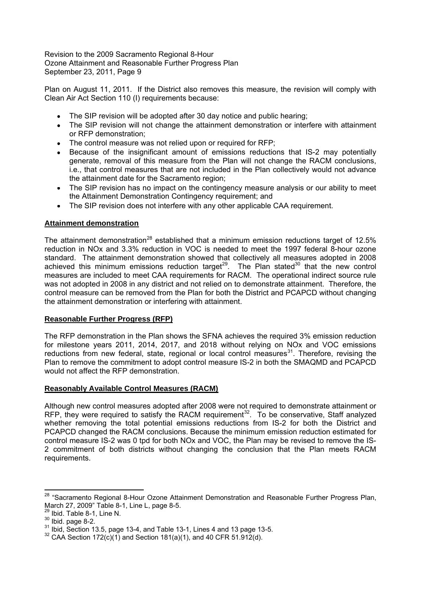Plan on August 11, 2011. If the District also removes this measure, the revision will comply with Clean Air Act Section 110 (I) requirements because:

- The SIP revision will be adopted after 30 day notice and public hearing;
- The SIP revision will not change the attainment demonstration or interfere with attainment or RFP demonstration;
- The control measure was not relied upon or required for RFP;
- Because of the insignificant amount of emissions reductions that IS-2 may potentially generate, removal of this measure from the Plan will not change the RACM conclusions, i.e., that control measures that are not included in the Plan collectively would not advance the attainment date for the Sacramento region;
- The SIP revision has no impact on the contingency measure analysis or our ability to meet the Attainment Demonstration Contingency requirement; and
- The SIP revision does not interfere with any other applicable CAA requirement.

## **Attainment demonstration**

The attainment demonstration<sup>28</sup> established that a minimum emission reductions target of 12.5% reduction in NOx and 3.3% reduction in VOC is needed to meet the 1997 federal 8-hour ozone standard. The attainment demonstration showed that collectively all measures adopted in 2008 achieved this minimum emissions reduction target<sup>29</sup>. The Plan stated<sup>30</sup> that the new control measures are included to meet CAA requirements for RACM. The operational indirect source rule was not adopted in 2008 in any district and not relied on to demonstrate attainment. Therefore, the control measure can be removed from the Plan for both the District and PCAPCD without changing the attainment demonstration or interfering with attainment.

## **Reasonable Further Progress (RFP)**

The RFP demonstration in the Plan shows the SFNA achieves the required 3% emission reduction for milestone years 2011, 2014, 2017, and 2018 without relying on NOx and VOC emissions reductions from new federal, state, regional or local control measures<sup>31</sup>. Therefore, revising the Plan to remove the commitment to adopt control measure IS-2 in both the SMAQMD and PCAPCD would not affect the RFP demonstration.

## **Reasonably Available Control Measures (RACM)**

Although new control measures adopted after 2008 were not required to demonstrate attainment or RFP, they were required to satisfy the RACM requirement<sup>32</sup>. To be conservative, Staff analyzed whether removing the total potential emissions reductions from IS-2 for both the District and PCAPCD changed the RACM conclusions. Because the minimum emission reduction estimated for control measure IS-2 was 0 tpd for both NOx and VOC, the Plan may be revised to remove the IS-2 commitment of both districts without changing the conclusion that the Plan meets RACM requirements.

<sup>&</sup>lt;sup>28</sup> "Sacramento Regional 8-Hour Ozone Attainment Demonstration and Reasonable Further Progress Plan, March 27, 2009" Table 8-1, Line L, page 8-5.

 $29$  Ibid. Table 8-1, Line N.

 $30$  Ibid. page 8-2.

<sup>31</sup> Ibid, Section 13.5, page 13-4, and Table 13-1, Lines 4 and 13 page 13-5.

 $32$  CAA Section 172(c)(1) and Section 181(a)(1), and 40 CFR 51.912(d).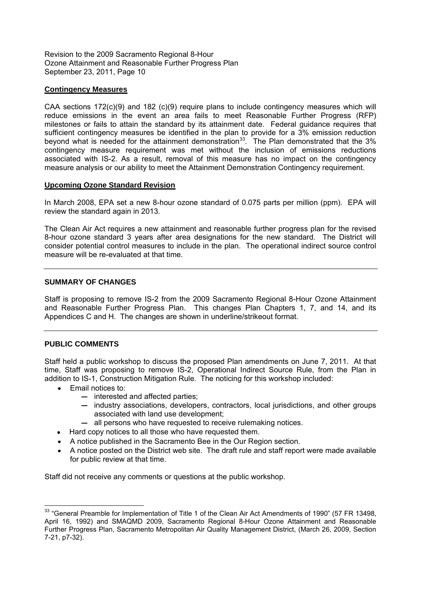### **Contingency Measures**

CAA sections 172(c)(9) and 182 (c)(9) require plans to include contingency measures which will reduce emissions in the event an area fails to meet Reasonable Further Progress (RFP) milestones or fails to attain the standard by its attainment date. Federal guidance requires that sufficient contingency measures be identified in the plan to provide for a 3% emission reduction beyond what is needed for the attainment demonstration<sup>33</sup>. The Plan demonstrated that the 3% contingency measure requirement was met without the inclusion of emissions reductions associated with IS-2. As a result, removal of this measure has no impact on the contingency measure analysis or our ability to meet the Attainment Demonstration Contingency requirement.

### **Upcoming Ozone Standard Revision**

In March 2008, EPA set a new 8-hour ozone standard of 0.075 parts per million (ppm). EPA will review the standard again in 2013.

The Clean Air Act requires a new attainment and reasonable further progress plan for the revised 8-hour ozone standard 3 years after area designations for the new standard. The District will consider potential control measures to include in the plan. The operational indirect source control measure will be re-evaluated at that time.

### **SUMMARY OF CHANGES**

Staff is proposing to remove IS-2 from the 2009 Sacramento Regional 8-Hour Ozone Attainment and Reasonable Further Progress Plan. This changes Plan Chapters 1, 7, and 14, and its Appendices C and H. The changes are shown in underline/strikeout format.

## **PUBLIC COMMENTS**

Staff held a public workshop to discuss the proposed Plan amendments on June 7, 2011. At that time, Staff was proposing to remove IS-2, Operational Indirect Source Rule, from the Plan in addition to IS-1, Construction Mitigation Rule. The noticing for this workshop included:

- Email notices to:
	- $-$  interested and affected parties;
	- industry associations, developers, contractors, local jurisdictions, and other groups associated with land use development;
	- $-$  all persons who have requested to receive rulemaking notices.
- Hard copy notices to all those who have requested them.
- A notice published in the Sacramento Bee in the Our Region section.
- A notice posted on the District web site. The draft rule and staff report were made available for public review at that time.

Staff did not receive any comments or questions at the public workshop.

<sup>&</sup>lt;sup>33</sup> "General Preamble for Implementation of Title 1 of the Clean Air Act Amendments of 1990" (57 FR 13498, April 16, 1992) and SMAQMD 2009, Sacramento Regional 8-Hour Ozone Attainment and Reasonable Further Progress Plan, Sacramento Metropolitan Air Quality Management District, (March 26, 2009, Section 7-21, p7-32).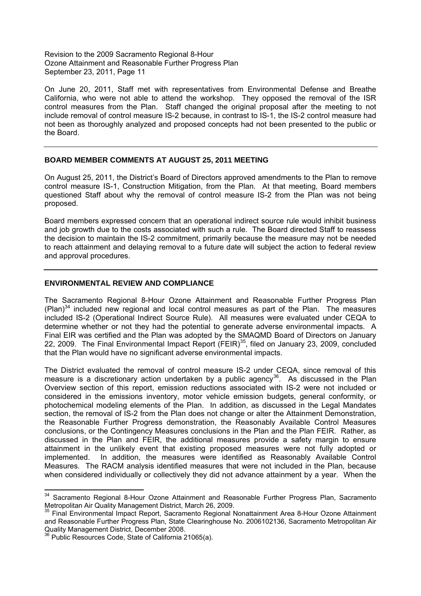On June 20, 2011, Staff met with representatives from Environmental Defense and Breathe California, who were not able to attend the workshop. They opposed the removal of the ISR control measures from the Plan. Staff changed the original proposal after the meeting to not include removal of control measure IS-2 because, in contrast to IS-1, the IS-2 control measure had not been as thoroughly analyzed and proposed concepts had not been presented to the public or the Board.

### **BOARD MEMBER COMMENTS AT AUGUST 25, 2011 MEETING**

On August 25, 2011, the District's Board of Directors approved amendments to the Plan to remove control measure IS-1, Construction Mitigation, from the Plan. At that meeting, Board members questioned Staff about why the removal of control measure IS-2 from the Plan was not being proposed.

Board members expressed concern that an operational indirect source rule would inhibit business and job growth due to the costs associated with such a rule. The Board directed Staff to reassess the decision to maintain the IS-2 commitment, primarily because the measure may not be needed to reach attainment and delaying removal to a future date will subject the action to federal review and approval procedures.

### **ENVIRONMENTAL REVIEW AND COMPLIANCE**

The Sacramento Regional 8-Hour Ozone Attainment and Reasonable Further Progress Plan  $(Plan)^{34}$  included new regional and local control measures as part of the Plan. The measures included IS-2 (Operational Indirect Source Rule). All measures were evaluated under CEQA to determine whether or not they had the potential to generate adverse environmental impacts. A Final EIR was certified and the Plan was adopted by the SMAQMD Board of Directors on January 22, 2009. The Final Environmental Impact Report (FEIR)<sup>35</sup>, filed on January 23, 2009, concluded that the Plan would have no significant adverse environmental impacts.

The District evaluated the removal of control measure IS-2 under CEQA, since removal of this measure is a discretionary action undertaken by a public agency<sup>36</sup>. As discussed in the Plan Overview section of this report, emission reductions associated with IS-2 were not included or considered in the emissions inventory, motor vehicle emission budgets, general conformity, or photochemical modeling elements of the Plan. In addition, as discussed in the Legal Mandates section, the removal of IS-2 from the Plan does not change or alter the Attainment Demonstration, the Reasonable Further Progress demonstration, the Reasonably Available Control Measures conclusions, or the Contingency Measures conclusions in the Plan and the Plan FEIR. Rather, as discussed in the Plan and FEIR, the additional measures provide a safety margin to ensure attainment in the unlikely event that existing proposed measures were not fully adopted or implemented. In addition, the measures were identified as Reasonably Available Control Measures. The RACM analysis identified measures that were not included in the Plan, because when considered individually or collectively they did not advance attainment by a year. When the

<sup>&</sup>lt;sup>34</sup> Sacramento Regional 8-Hour Ozone Attainment and Reasonable Further Progress Plan, Sacramento Metropolitan Air Quality Management District, March 26, 2009.

<sup>&</sup>lt;sup>35</sup> Final Environmental Impact Report, Sacramento Regional Nonattainment Area 8-Hour Ozone Attainment and Reasonable Further Progress Plan, State Clearinghouse No. 2006102136, Sacramento Metropolitan Air Quality Management District, December 2008.

 $3$  Public Resources Code, State of California 21065(a).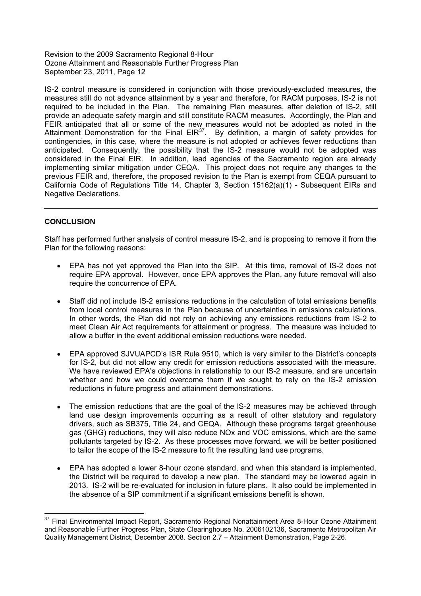IS-2 control measure is considered in conjunction with those previously-excluded measures, the measures still do not advance attainment by a year and therefore, for RACM purposes, IS-2 is not required to be included in the Plan. The remaining Plan measures, after deletion of IS-2, still provide an adequate safety margin and still constitute RACM measures. Accordingly, the Plan and FEIR anticipated that all or some of the new measures would not be adopted as noted in the Attainment Demonstration for the Final  $EIR^{37}$ . By definition, a margin of safety provides for contingencies, in this case, where the measure is not adopted or achieves fewer reductions than anticipated. Consequently, the possibility that the IS-2 measure would not be adopted was considered in the Final EIR. In addition, lead agencies of the Sacramento region are already implementing similar mitigation under CEQA. This project does not require any changes to the previous FEIR and, therefore, the proposed revision to the Plan is exempt from CEQA pursuant to California Code of Regulations Title 14, Chapter 3, Section 15162(a)(1) - Subsequent EIRs and Negative Declarations.

# **CONCLUSION**

Staff has performed further analysis of control measure IS-2, and is proposing to remove it from the Plan for the following reasons:

- EPA has not yet approved the Plan into the SIP. At this time, removal of IS-2 does not require EPA approval. However, once EPA approves the Plan, any future removal will also require the concurrence of EPA.
- Staff did not include IS-2 emissions reductions in the calculation of total emissions benefits from local control measures in the Plan because of uncertainties in emissions calculations. In other words, the Plan did not rely on achieving any emissions reductions from IS-2 to meet Clean Air Act requirements for attainment or progress. The measure was included to allow a buffer in the event additional emission reductions were needed.
- EPA approved SJVUAPCD's ISR Rule 9510, which is very similar to the District's concepts for IS-2, but did not allow any credit for emission reductions associated with the measure. We have reviewed EPA's objections in relationship to our IS-2 measure, and are uncertain whether and how we could overcome them if we sought to rely on the IS-2 emission reductions in future progress and attainment demonstrations.
- The emission reductions that are the goal of the lS-2 measures may be achieved through land use design improvements occurring as a result of other statutory and regulatory drivers, such as SB375, Title 24, and CEQA. Although these programs target greenhouse gas (GHG) reductions, they will also reduce NOx and VOC emissions, which are the same pollutants targeted by IS-2. As these processes move forward, we will be better positioned to tailor the scope of the IS-2 measure to fit the resulting land use programs.
- EPA has adopted a lower 8-hour ozone standard, and when this standard is implemented, the District will be required to develop a new plan. The standard may be lowered again in 2013. IS-2 will be re-evaluated for inclusion in future plans. It also could be implemented in the absence of a SIP commitment if a significant emissions benefit is shown.

<sup>&</sup>lt;sup>37</sup> Final Environmental Impact Report, Sacramento Regional Nonattainment Area 8-Hour Ozone Attainment and Reasonable Further Progress Plan, State Clearinghouse No. 2006102136, Sacramento Metropolitan Air Quality Management District, December 2008. Section 2.7 Attainment Demonstration, Page 2-26.